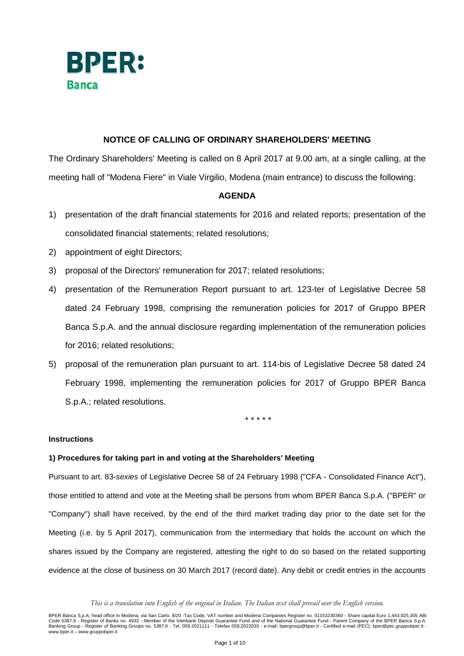

# **NOTICE OF CALLING OF ORDINARY SHAREHOLDERS' MEETING**

The Ordinary Shareholders' Meeting is called on 8 April 2017 at 9.00 am, at a single calling, at the meeting hall of "Modena Fiere" in Viale Virgilio, Modena (main entrance) to discuss the following:

# **AGENDA**

- 1) presentation of the draft financial statements for 2016 and related reports; presentation of the consolidated financial statements; related resolutions;
- 2) appointment of eight Directors;
- 3) proposal of the Directors' remuneration for 2017; related resolutions;
- 4) presentation of the Remuneration Report pursuant to art. 123-ter of Legislative Decree 58 dated 24 February 1998, comprising the remuneration policies for 2017 of Gruppo BPER Banca S.p.A. and the annual disclosure regarding implementation of the remuneration policies for 2016; related resolutions;
- 5) proposal of the remuneration plan pursuant to art. 114-bis of Legislative Decree 58 dated 24 February 1998, implementing the remuneration policies for 2017 of Gruppo BPER Banca S.p.A.; related resolutions.

\* \* \* \* \*

## **Instructions**

## **1) Procedures for taking part in and voting at the Shareholders' Meeting**

Pursuant to art. 83-sexies of Legislative Decree 58 of 24 February 1998 ("CFA - Consolidated Finance Act"), those entitled to attend and vote at the Meeting shall be persons from whom BPER Banca S.p.A. ("BPER" or "Company") shall have received, by the end of the third market trading day prior to the date set for the Meeting (i.e. by 5 April 2017), communication from the intermediary that holds the account on which the shares issued by the Company are registered, attesting the right to do so based on the related supporting evidence at the close of business on 30 March 2017 (record date). Any debit or credit entries in the accounts

*This is a translation into English of the original in Italian. The Italian text shall prevail over the English version.*

BPER Banca S.p.A, head office in Modena, via San Carlo, 8/20 -Tax Code, VAT number and Modena Companies Register no. 01153230360 - Share capital Euro 1,443,925,305 ABI<br>Code 5387.6 - Register of Banking Groups on the Inter www.bper.it – www.gruppobper.it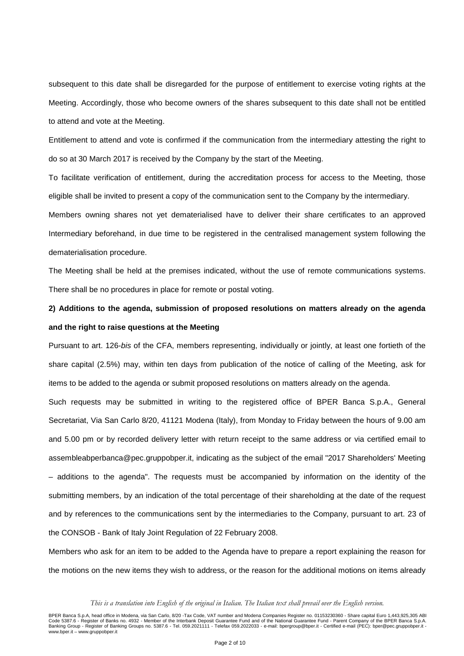subsequent to this date shall be disregarded for the purpose of entitlement to exercise voting rights at the Meeting. Accordingly, those who become owners of the shares subsequent to this date shall not be entitled to attend and vote at the Meeting.

Entitlement to attend and vote is confirmed if the communication from the intermediary attesting the right to do so at 30 March 2017 is received by the Company by the start of the Meeting.

To facilitate verification of entitlement, during the accreditation process for access to the Meeting, those eligible shall be invited to present a copy of the communication sent to the Company by the intermediary.

Members owning shares not yet dematerialised have to deliver their share certificates to an approved Intermediary beforehand, in due time to be registered in the centralised management system following the dematerialisation procedure.

The Meeting shall be held at the premises indicated, without the use of remote communications systems. There shall be no procedures in place for remote or postal voting.

# **2) Additions to the agenda, submission of proposed resolutions on matters already on the agenda and the right to raise questions at the Meeting**

Pursuant to art. 126-bis of the CFA, members representing, individually or jointly, at least one fortieth of the share capital (2.5%) may, within ten days from publication of the notice of calling of the Meeting, ask for items to be added to the agenda or submit proposed resolutions on matters already on the agenda.

Such requests may be submitted in writing to the registered office of BPER Banca S.p.A., General Secretariat, Via San Carlo 8/20, 41121 Modena (Italy), from Monday to Friday between the hours of 9.00 am and 5.00 pm or by recorded delivery letter with return receipt to the same address or via certified email to assembleabperbanca@pec.gruppobper.it, indicating as the subject of the email "2017 Shareholders' Meeting – additions to the agenda". The requests must be accompanied by information on the identity of the submitting members, by an indication of the total percentage of their shareholding at the date of the request and by references to the communications sent by the intermediaries to the Company, pursuant to art. 23 of the CONSOB - Bank of Italy Joint Regulation of 22 February 2008.

Members who ask for an item to be added to the Agenda have to prepare a report explaining the reason for the motions on the new items they wish to address, or the reason for the additional motions on items already

*This is a translation into English of the original in Italian. The Italian text shall prevail over the English version.*

BPER Banca S.p.A, head office in Modena, via San Carlo, 8/20 -Tax Code, VAT number and Modena Companies Register no. 01153230360 - Share capital Euro 1,443,925,305 ABI<br>Code 5387.6 - Register of Banking Groups on the Inter www.bper.it – www.gruppobper.it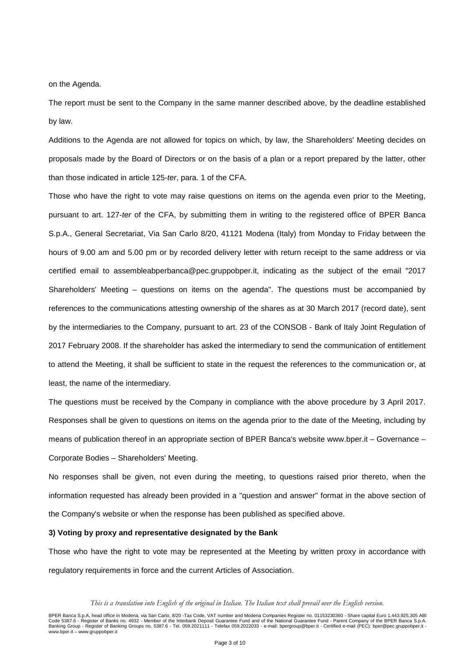on the Agenda.

The report must be sent to the Company in the same manner described above, by the deadline established by law.

Additions to the Agenda are not allowed for topics on which, by law, the Shareholders' Meeting decides on proposals made by the Board of Directors or on the basis of a plan or a report prepared by the latter, other than those indicated in article 125-ter, para. 1 of the CFA.

Those who have the right to vote may raise questions on items on the agenda even prior to the Meeting, pursuant to art. 127-ter of the CFA, by submitting them in writing to the registered office of BPER Banca S.p.A., General Secretariat, Via San Carlo 8/20, 41121 Modena (Italy) from Monday to Friday between the hours of 9.00 am and 5.00 pm or by recorded delivery letter with return receipt to the same address or via certified email to assembleabperbanca@pec.gruppobper.it, indicating as the subject of the email "2017 Shareholders' Meeting – questions on items on the agenda". The questions must be accompanied by references to the communications attesting ownership of the shares as at 30 March 2017 (record date), sent by the intermediaries to the Company, pursuant to art. 23 of the CONSOB - Bank of Italy Joint Regulation of 2017 February 2008. If the shareholder has asked the intermediary to send the communication of entitlement to attend the Meeting, it shall be sufficient to state in the request the references to the communication or, at least, the name of the intermediary.

The questions must be received by the Company in compliance with the above procedure by 3 April 2017. Responses shall be given to questions on items on the agenda prior to the date of the Meeting, including by means of publication thereof in an appropriate section of BPER Banca's website www.bper.it – Governance – Corporate Bodies – Shareholders' Meeting.

No responses shall be given, not even during the meeting, to questions raised prior thereto, when the information requested has already been provided in a "question and answer" format in the above section of the Company's website or when the response has been published as specified above.

#### **3) Voting by proxy and representative designated by the Bank**

Those who have the right to vote may be represented at the Meeting by written proxy in accordance with regulatory requirements in force and the current Articles of Association.

*This is a translation into English of the original in Italian. The Italian text shall prevail over the English version.*

BPER Banca S.p.A, head office in Modena, via San Carlo, 8/20 -Tax Code, VAT number and Modena Companies Register no. 01153230360 - Share capital Euro 1,443,925,305 ABI<br>Code 5387.6 - Register of Banking Groups on the Inter www.bper.it – www.gruppobper.it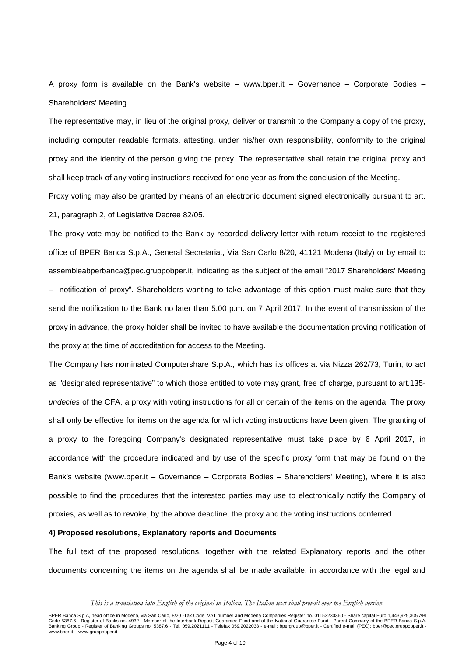A proxy form is available on the Bank's website – www.bper.it – Governance – Corporate Bodies – Shareholders' Meeting.

The representative may, in lieu of the original proxy, deliver or transmit to the Company a copy of the proxy, including computer readable formats, attesting, under his/her own responsibility, conformity to the original proxy and the identity of the person giving the proxy. The representative shall retain the original proxy and shall keep track of any voting instructions received for one year as from the conclusion of the Meeting.

Proxy voting may also be granted by means of an electronic document signed electronically pursuant to art. 21, paragraph 2, of Legislative Decree 82/05.

The proxy vote may be notified to the Bank by recorded delivery letter with return receipt to the registered office of BPER Banca S.p.A., General Secretariat, Via San Carlo 8/20, 41121 Modena (Italy) or by email to assembleabperbanca@pec.gruppobper.it, indicating as the subject of the email "2017 Shareholders' Meeting – notification of proxy". Shareholders wanting to take advantage of this option must make sure that they send the notification to the Bank no later than 5.00 p.m. on 7 April 2017. In the event of transmission of the proxy in advance, the proxy holder shall be invited to have available the documentation proving notification of the proxy at the time of accreditation for access to the Meeting.

The Company has nominated Computershare S.p.A., which has its offices at via Nizza 262/73, Turin, to act as "designated representative" to which those entitled to vote may grant, free of charge, pursuant to art.135 undecies of the CFA, a proxy with voting instructions for all or certain of the items on the agenda. The proxy shall only be effective for items on the agenda for which voting instructions have been given. The granting of a proxy to the foregoing Company's designated representative must take place by 6 April 2017, in accordance with the procedure indicated and by use of the specific proxy form that may be found on the Bank's website (www.bper.it – Governance – Corporate Bodies – Shareholders' Meeting), where it is also possible to find the procedures that the interested parties may use to electronically notify the Company of proxies, as well as to revoke, by the above deadline, the proxy and the voting instructions conferred.

## **4) Proposed resolutions, Explanatory reports and Documents**

The full text of the proposed resolutions, together with the related Explanatory reports and the other documents concerning the items on the agenda shall be made available, in accordance with the legal and

*This is a translation into English of the original in Italian. The Italian text shall prevail over the English version.*

BPER Banca S.p.A, head office in Modena, via San Carlo, 8/20 -Tax Code, VAT number and Modena Companies Register no. 01153230360 - Share capital Euro 1,443,925,305 ABI<br>Code 5387.6 - Register of Banking Groups on the Inter www.bper.it – www.gruppobper.it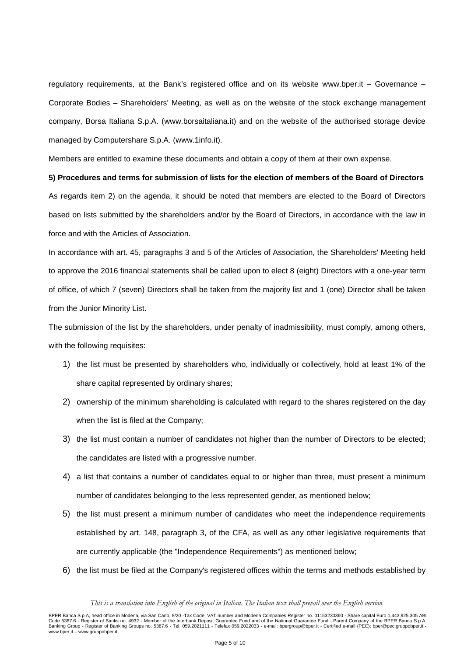regulatory requirements, at the Bank's registered office and on its website www.bper.it – Governance – Corporate Bodies – Shareholders' Meeting, as well as on the website of the stock exchange management company, Borsa Italiana S.p.A. (www.borsaitaliana.it) and on the website of the authorised storage device managed by Computershare S.p.A. (www.1info.it).

Members are entitled to examine these documents and obtain a copy of them at their own expense.

## **5) Procedures and terms for submission of lists for the election of members of the Board of Directors**

As regards item 2) on the agenda, it should be noted that members are elected to the Board of Directors based on lists submitted by the shareholders and/or by the Board of Directors, in accordance with the law in force and with the Articles of Association.

In accordance with art. 45, paragraphs 3 and 5 of the Articles of Association, the Shareholders' Meeting held to approve the 2016 financial statements shall be called upon to elect 8 (eight) Directors with a one-year term of office, of which 7 (seven) Directors shall be taken from the majority list and 1 (one) Director shall be taken from the Junior Minority List.

The submission of the list by the shareholders, under penalty of inadmissibility, must comply, among others, with the following requisites:

- 1) the list must be presented by shareholders who, individually or collectively, hold at least 1% of the share capital represented by ordinary shares;
- 2) ownership of the minimum shareholding is calculated with regard to the shares registered on the day when the list is filed at the Company;
- 3) the list must contain a number of candidates not higher than the number of Directors to be elected; the candidates are listed with a progressive number.
- 4) a list that contains a number of candidates equal to or higher than three, must present a minimum number of candidates belonging to the less represented gender, as mentioned below;
- 5) the list must present a minimum number of candidates who meet the independence requirements established by art. 148, paragraph 3, of the CFA, as well as any other legislative requirements that are currently applicable (the "Independence Requirements") as mentioned below;
- 6) the list must be filed at the Company's registered offices within the terms and methods established by

*This is a translation into English of the original in Italian. The Italian text shall prevail over the English version.*

BPER Banca S.p.A, head office in Modena, via San Carlo, 8/20 -Tax Code, VAT number and Modena Companies Register no. 01153230360 - Share capital Euro 1,443,925,305 ABI<br>Code 5387.6 - Register of Banking Groups on the Inter www.bper.it – www.gruppobper.it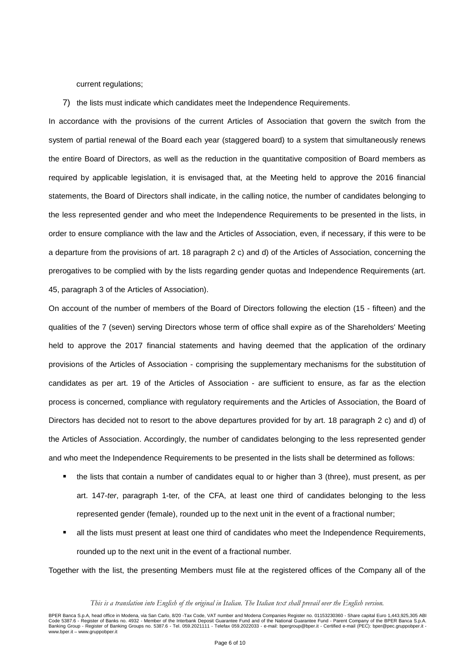current regulations;

7) the lists must indicate which candidates meet the Independence Requirements.

In accordance with the provisions of the current Articles of Association that govern the switch from the system of partial renewal of the Board each year (staggered board) to a system that simultaneously renews the entire Board of Directors, as well as the reduction in the quantitative composition of Board members as required by applicable legislation, it is envisaged that, at the Meeting held to approve the 2016 financial statements, the Board of Directors shall indicate, in the calling notice, the number of candidates belonging to the less represented gender and who meet the Independence Requirements to be presented in the lists, in order to ensure compliance with the law and the Articles of Association, even, if necessary, if this were to be a departure from the provisions of art. 18 paragraph 2 c) and d) of the Articles of Association, concerning the prerogatives to be complied with by the lists regarding gender quotas and Independence Requirements (art. 45, paragraph 3 of the Articles of Association).

On account of the number of members of the Board of Directors following the election (15 - fifteen) and the qualities of the 7 (seven) serving Directors whose term of office shall expire as of the Shareholders' Meeting held to approve the 2017 financial statements and having deemed that the application of the ordinary provisions of the Articles of Association - comprising the supplementary mechanisms for the substitution of candidates as per art. 19 of the Articles of Association - are sufficient to ensure, as far as the election process is concerned, compliance with regulatory requirements and the Articles of Association, the Board of Directors has decided not to resort to the above departures provided for by art. 18 paragraph 2 c) and d) of the Articles of Association. Accordingly, the number of candidates belonging to the less represented gender and who meet the Independence Requirements to be presented in the lists shall be determined as follows:

- the lists that contain a number of candidates equal to or higher than 3 (three), must present, as per art. 147-ter, paragraph 1-ter, of the CFA, at least one third of candidates belonging to the less represented gender (female), rounded up to the next unit in the event of a fractional number;
- all the lists must present at least one third of candidates who meet the Independence Requirements, rounded up to the next unit in the event of a fractional number.

Together with the list, the presenting Members must file at the registered offices of the Company all of the

*This is a translation into English of the original in Italian. The Italian text shall prevail over the English version.*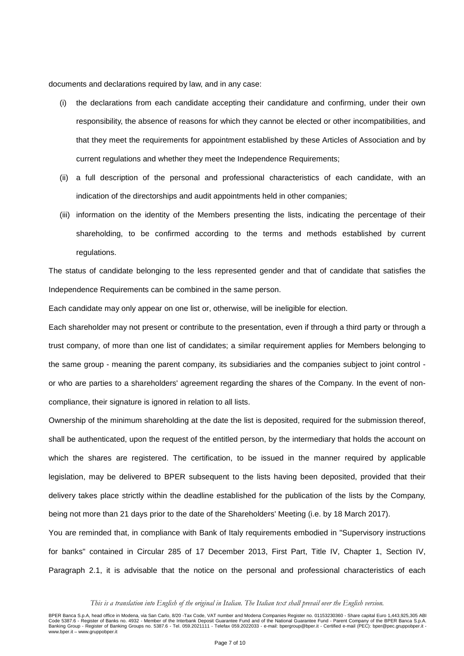documents and declarations required by law, and in any case:

- (i) the declarations from each candidate accepting their candidature and confirming, under their own responsibility, the absence of reasons for which they cannot be elected or other incompatibilities, and that they meet the requirements for appointment established by these Articles of Association and by current regulations and whether they meet the Independence Requirements;
- (ii) a full description of the personal and professional characteristics of each candidate, with an indication of the directorships and audit appointments held in other companies;
- (iii) information on the identity of the Members presenting the lists, indicating the percentage of their shareholding, to be confirmed according to the terms and methods established by current regulations.

The status of candidate belonging to the less represented gender and that of candidate that satisfies the Independence Requirements can be combined in the same person.

Each candidate may only appear on one list or, otherwise, will be ineligible for election.

Each shareholder may not present or contribute to the presentation, even if through a third party or through a trust company, of more than one list of candidates; a similar requirement applies for Members belonging to the same group - meaning the parent company, its subsidiaries and the companies subject to joint control or who are parties to a shareholders' agreement regarding the shares of the Company. In the event of noncompliance, their signature is ignored in relation to all lists.

Ownership of the minimum shareholding at the date the list is deposited, required for the submission thereof, shall be authenticated, upon the request of the entitled person, by the intermediary that holds the account on which the shares are registered. The certification, to be issued in the manner required by applicable legislation, may be delivered to BPER subsequent to the lists having been deposited, provided that their delivery takes place strictly within the deadline established for the publication of the lists by the Company, being not more than 21 days prior to the date of the Shareholders' Meeting (i.e. by 18 March 2017).

You are reminded that, in compliance with Bank of Italy requirements embodied in "Supervisory instructions for banks" contained in Circular 285 of 17 December 2013, First Part, Title IV, Chapter 1, Section IV, Paragraph 2.1, it is advisable that the notice on the personal and professional characteristics of each

*This is a translation into English of the original in Italian. The Italian text shall prevail over the English version.*

BPER Banca S.p.A, head office in Modena, via San Carlo, 8/20 -Tax Code, VAT number and Modena Companies Register no. 01153230360 - Share capital Euro 1,443,925,305 ABI<br>Code 5387.6 - Register of Banking Groups on the Inter www.bper.it – www.gruppobper.it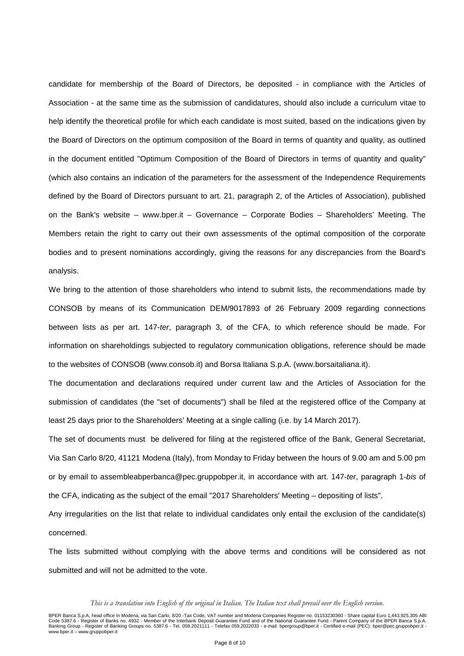candidate for membership of the Board of Directors, be deposited - in compliance with the Articles of Association - at the same time as the submission of candidatures, should also include a curriculum vitae to help identify the theoretical profile for which each candidate is most suited, based on the indications given by the Board of Directors on the optimum composition of the Board in terms of quantity and quality, as outlined in the document entitled "Optimum Composition of the Board of Directors in terms of quantity and quality" (which also contains an indication of the parameters for the assessment of the Independence Requirements defined by the Board of Directors pursuant to art. 21, paragraph 2, of the Articles of Association), published on the Bank's website – www.bper.it – Governance – Corporate Bodies – Shareholders' Meeting. The Members retain the right to carry out their own assessments of the optimal composition of the corporate bodies and to present nominations accordingly, giving the reasons for any discrepancies from the Board's analysis.

We bring to the attention of those shareholders who intend to submit lists, the recommendations made by CONSOB by means of its Communication DEM/9017893 of 26 February 2009 regarding connections between lists as per art. 147-ter, paragraph 3, of the CFA, to which reference should be made. For information on shareholdings subjected to regulatory communication obligations, reference should be made to the websites of CONSOB (www.consob.it) and Borsa Italiana S.p.A. (www.borsaitaliana.it).

The documentation and declarations required under current law and the Articles of Association for the submission of candidates (the "set of documents") shall be filed at the registered office of the Company at least 25 days prior to the Shareholders' Meeting at a single calling (i.e. by 14 March 2017).

The set of documents must be delivered for filing at the registered office of the Bank, General Secretariat, Via San Carlo 8/20, 41121 Modena (Italy), from Monday to Friday between the hours of 9.00 am and 5.00 pm or by email to assembleabperbanca@pec.gruppobper.it, in accordance with art. 147-ter, paragraph 1-bis of the CFA, indicating as the subject of the email "2017 Shareholders' Meeting – depositing of lists".

Any irregularities on the list that relate to individual candidates only entail the exclusion of the candidate(s) concerned.

The lists submitted without complying with the above terms and conditions will be considered as not submitted and will not be admitted to the vote.

*This is a translation into English of the original in Italian. The Italian text shall prevail over the English version.*

BPER Banca S.p.A, head office in Modena, via San Carlo, 8/20 -Tax Code, VAT number and Modena Companies Register no. 01153230360 - Share capital Euro 1,443,925,305 ABI<br>Code 5387.6 - Register of Banking Groups on the Inter www.bper.it – www.gruppobper.it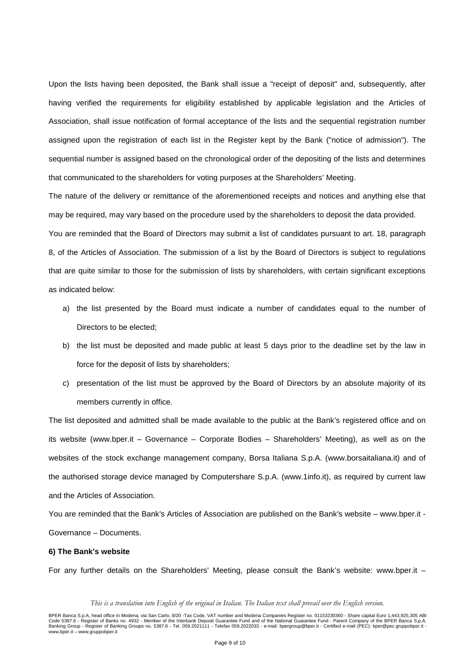Upon the lists having been deposited, the Bank shall issue a "receipt of deposit" and, subsequently, after having verified the requirements for eligibility established by applicable legislation and the Articles of Association, shall issue notification of formal acceptance of the lists and the sequential registration number assigned upon the registration of each list in the Register kept by the Bank ("notice of admission"). The sequential number is assigned based on the chronological order of the depositing of the lists and determines that communicated to the shareholders for voting purposes at the Shareholders' Meeting.

The nature of the delivery or remittance of the aforementioned receipts and notices and anything else that may be required, may vary based on the procedure used by the shareholders to deposit the data provided.

You are reminded that the Board of Directors may submit a list of candidates pursuant to art. 18, paragraph 8, of the Articles of Association. The submission of a list by the Board of Directors is subject to regulations that are quite similar to those for the submission of lists by shareholders, with certain significant exceptions as indicated below:

- a) the list presented by the Board must indicate a number of candidates equal to the number of Directors to be elected;
- b) the list must be deposited and made public at least 5 days prior to the deadline set by the law in force for the deposit of lists by shareholders;
- c) presentation of the list must be approved by the Board of Directors by an absolute majority of its members currently in office.

The list deposited and admitted shall be made available to the public at the Bank's registered office and on its website (www.bper.it – Governance – Corporate Bodies – Shareholders' Meeting), as well as on the websites of the stock exchange management company, Borsa Italiana S.p.A. (www.borsaitaliana.it) and of the authorised storage device managed by Computershare S.p.A. (www.1info.it), as required by current law and the Articles of Association.

You are reminded that the Bank's Articles of Association are published on the Bank's website – www.bper.it - Governance – Documents.

### **6) The Bank's website**

For any further details on the Shareholders' Meeting, please consult the Bank's website: www.bper.it –

BPER Banca S.p.A, head office in Modena, via San Carlo, 8/20 -Tax Code, VAT number and Modena Companies Register no. 01153230360 - Share capital Euro 1,443,925,305 ABI<br>Code 5387.6 - Register of Banking Groups on the Inter www.bper.it – www.gruppobper.it

*This is a translation into English of the original in Italian. The Italian text shall prevail over the English version.*